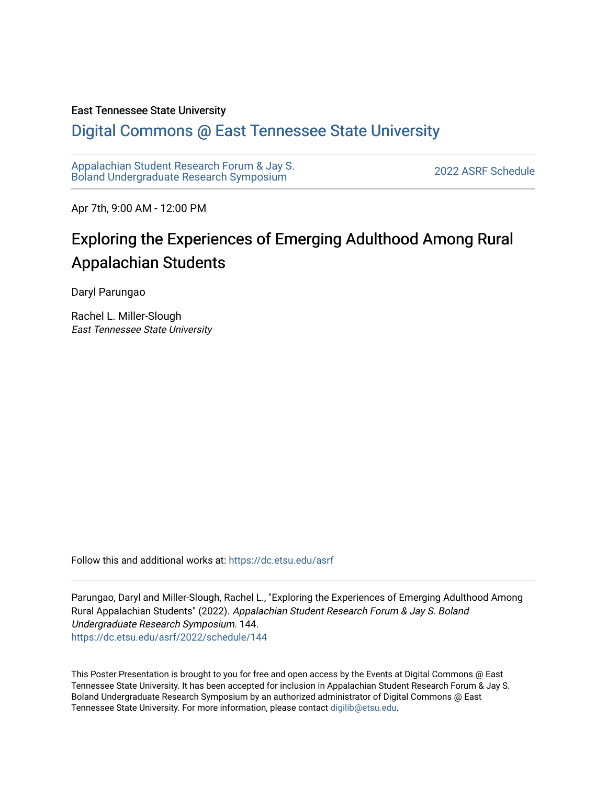#### East Tennessee State University

#### [Digital Commons @ East Tennessee State University](https://dc.etsu.edu/)

[Appalachian Student Research Forum & Jay S.](https://dc.etsu.edu/asrf)  Appalactifalt Student Research Forum & Jay S.<br>Boland Undergraduate Research Symposium

Apr 7th, 9:00 AM - 12:00 PM

#### Exploring the Experiences of Emerging Adulthood Among Rural Appalachian Students

Daryl Parungao

Rachel L. Miller-Slough East Tennessee State University

Follow this and additional works at: [https://dc.etsu.edu/asrf](https://dc.etsu.edu/asrf?utm_source=dc.etsu.edu%2Fasrf%2F2022%2Fschedule%2F144&utm_medium=PDF&utm_campaign=PDFCoverPages) 

Parungao, Daryl and Miller-Slough, Rachel L., "Exploring the Experiences of Emerging Adulthood Among Rural Appalachian Students" (2022). Appalachian Student Research Forum & Jay S. Boland Undergraduate Research Symposium. 144. [https://dc.etsu.edu/asrf/2022/schedule/144](https://dc.etsu.edu/asrf/2022/schedule/144?utm_source=dc.etsu.edu%2Fasrf%2F2022%2Fschedule%2F144&utm_medium=PDF&utm_campaign=PDFCoverPages) 

This Poster Presentation is brought to you for free and open access by the Events at Digital Commons @ East Tennessee State University. It has been accepted for inclusion in Appalachian Student Research Forum & Jay S. Boland Undergraduate Research Symposium by an authorized administrator of Digital Commons @ East Tennessee State University. For more information, please contact [digilib@etsu.edu](mailto:digilib@etsu.edu).